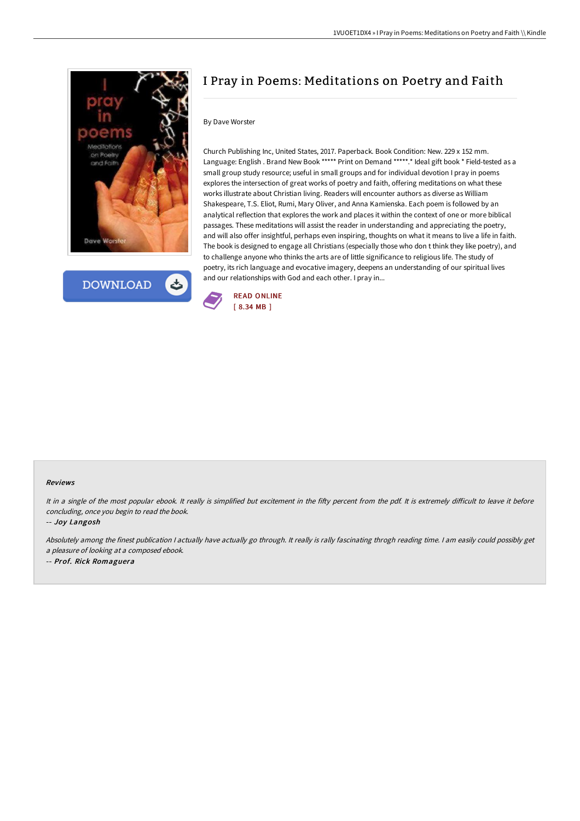



# I Pray in Poems: Meditations on Poetry and Faith

#### By Dave Worster

Church Publishing Inc, United States, 2017. Paperback. Book Condition: New. 229 x 152 mm. Language: English . Brand New Book \*\*\*\*\* Print on Demand \*\*\*\*\*.\* Ideal gift book \* Field-tested as a small group study resource; useful in small groups and for individual devotion I pray in poems explores the intersection of great works of poetry and faith, offering meditations on what these works illustrate about Christian living. Readers will encounter authors as diverse as William Shakespeare, T.S. Eliot, Rumi, Mary Oliver, and Anna Kamienska. Each poem is followed by an analytical reflection that explores the work and places it within the context of one or more biblical passages. These meditations will assist the reader in understanding and appreciating the poetry, and will also offer insightful, perhaps even inspiring, thoughts on what it means to live a life in faith. The book is designed to engage all Christians (especially those who don t think they like poetry), and to challenge anyone who thinks the arts are of little significance to religious life. The study of poetry, its rich language and evocative imagery, deepens an understanding of our spiritual lives and our relationships with God and each other. I pray in...



#### Reviews

It in a single of the most popular ebook. It really is simplified but excitement in the fifty percent from the pdf. It is extremely difficult to leave it before concluding, once you begin to read the book.

-- Joy Langosh

Absolutely among the finest publication <sup>I</sup> actually have actually go through. It really is rally fascinating throgh reading time. <sup>I</sup> am easily could possibly get <sup>a</sup> pleasure of looking at <sup>a</sup> composed ebook. -- Prof. Rick Romaguera